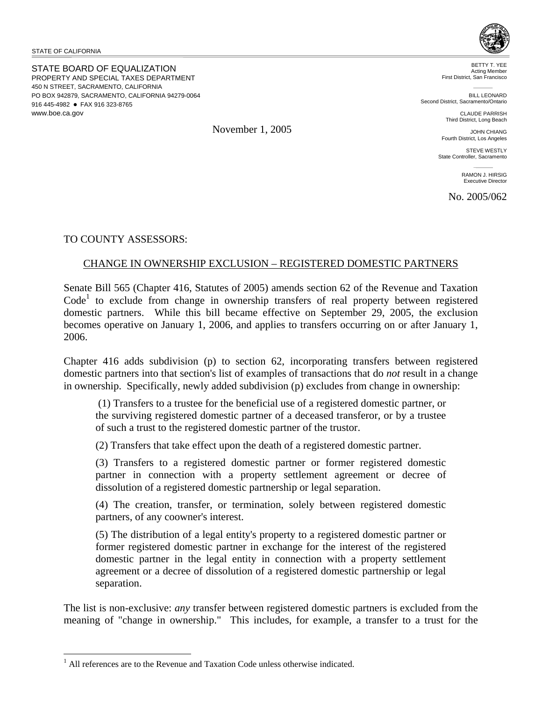STATE OF CALIFORNIA

<u>.</u>

STATE BOARD OF EQUALIZATION PROPERTY AND SPECIAL TAXES DEPARTMENT 450 N STREET, SACRAMENTO, CALIFORNIA PO BOX 942879, SACRAMENTO, CALIFORNIA 94279-0064 916 445-4982 • FAX 916 323-8765 www.boe.ca.gov



BETTY T. YEE Acting Member First District, San Francisco

**BILL LEONARD** Second District, Sacramento/Ontario

> CLAUDE PARRISH Third District, Long Beach

JOHN CHIANG Fourth District, Los Angeles

STEVE WESTLY State Controller, Sacramento

> RAMON J. HIRSIG Executive Director

No. 2005/062

TO COUNTY ASSESSORS:

# CHANGE IN OWNERSHIP EXCLUSION – REGISTERED DOMESTIC PARTNERS

Senate Bill 565 (Chapter 416, Statutes of 2005) amends section 62 of the Revenue and Taxation Code<sup>1</sup> to exclude from change in ownership transfers of real property between registered domestic partners. While this bill became effective on September 29, 2005, the exclusion becomes operative on January 1, 2006, and applies to transfers occurring on or after January 1, 2006.

Chapter 416 adds subdivision (p) to section 62, incorporating transfers between registered domestic partners into that section's list of examples of transactions that do *not* result in a change in ownership. Specifically, newly added subdivision (p) excludes from change in ownership:

 (1) Transfers to a trustee for the beneficial use of a registered domestic partner, or the surviving registered domestic partner of a deceased transferor, or by a trustee of such a trust to the registered domestic partner of the trustor.

(2) Transfers that take effect upon the death of a registered domestic partner.

(3) Transfers to a registered domestic partner or former registered domestic partner in connection with a property settlement agreement or decree of dissolution of a registered domestic partnership or legal separation.

(4) The creation, transfer, or termination, solely between registered domestic partners, of any coowner's interest.

(5) The distribution of a legal entity's property to a registered domestic partner or former registered domestic partner in exchange for the interest of the registered domestic partner in the legal entity in connection with a property settlement agreement or a decree of dissolution of a registered domestic partnership or legal separation.

The list is non-exclusive: *any* transfer between registered domestic partners is excluded from the meaning of "change in ownership." This includes, for example, a transfer to a trust for the

November 1, 2005

<sup>&</sup>lt;sup>1</sup> All references are to the Revenue and Taxation Code unless otherwise indicated.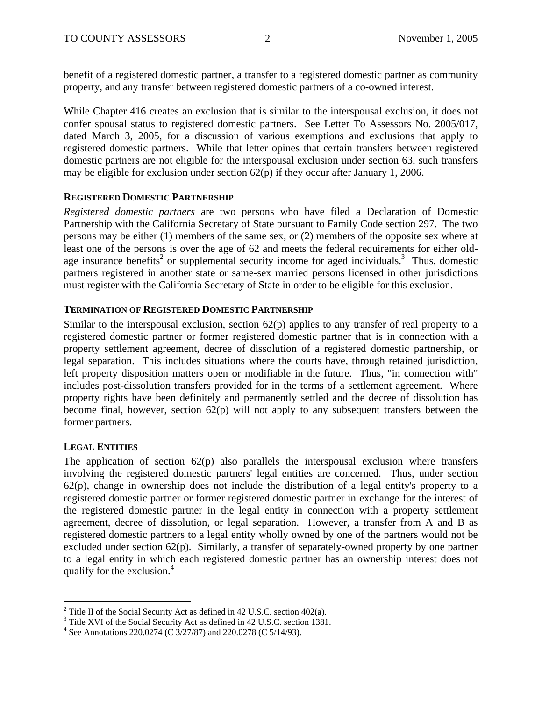benefit of a registered domestic partner, a transfer to a registered domestic partner as community property, and any transfer between registered domestic partners of a co-owned interest.

While Chapter 416 creates an exclusion that is similar to the interspousal exclusion, it does not confer spousal status to registered domestic partners. See Letter To Assessors No. 2005/017, dated March 3, 2005, for a discussion of various exemptions and exclusions that apply to registered domestic partners. While that letter opines that certain transfers between registered domestic partners are not eligible for the interspousal exclusion under section 63, such transfers may be eligible for exclusion under section 62(p) if they occur after January 1, 2006.

## **REGISTERED DOMESTIC PARTNERSHIP**

*Registered domestic partners* are two persons who have filed a Declaration of Domestic Partnership with the California Secretary of State pursuant to Family Code section 297. The two persons may be either (1) members of the same sex, or (2) members of the opposite sex where at least one of the persons is over the age of 62 and meets the federal requirements for either oldage insurance benefits<sup>2</sup> or supplemental security income for aged individuals.<sup>3</sup> Thus, domestic partners registered in another state or same-sex married persons licensed in other jurisdictions must register with the California Secretary of State in order to be eligible for this exclusion.

## **TERMINATION OF REGISTERED DOMESTIC PARTNERSHIP**

Similar to the interspousal exclusion, section  $62(p)$  applies to any transfer of real property to a registered domestic partner or former registered domestic partner that is in connection with a property settlement agreement, decree of dissolution of a registered domestic partnership, or legal separation. This includes situations where the courts have, through retained jurisdiction, left property disposition matters open or modifiable in the future. Thus, "in connection with" includes post-dissolution transfers provided for in the terms of a settlement agreement. Where property rights have been definitely and permanently settled and the decree of dissolution has become final, however, section 62(p) will not apply to any subsequent transfers between the former partners.

## **LEGAL ENTITIES**

 $\overline{a}$ 

The application of section  $62(p)$  also parallels the interspousal exclusion where transfers involving the registered domestic partners' legal entities are concerned. Thus, under section  $62(p)$ , change in ownership does not include the distribution of a legal entity's property to a registered domestic partner or former registered domestic partner in exchange for the interest of the registered domestic partner in the legal entity in connection with a property settlement agreement, decree of dissolution, or legal separation. However, a transfer from A and B as registered domestic partners to a legal entity wholly owned by one of the partners would not be excluded under section 62(p). Similarly, a transfer of separately-owned property by one partner to a legal entity in which each registered domestic partner has an ownership interest does not qualify for the exclusion.<sup>4</sup>

<sup>&</sup>lt;sup>2</sup> Title II of the Social Security Act as defined in 42 U.S.C. section 402(a).

<sup>&</sup>lt;sup>3</sup> Title XVI of the Social Security Act as defined in 42 U.S.C. section 1381.

<sup>&</sup>lt;sup>4</sup> See Annotations 220.0274 (C 3/27/87) and 220.0278 (C 5/14/93).